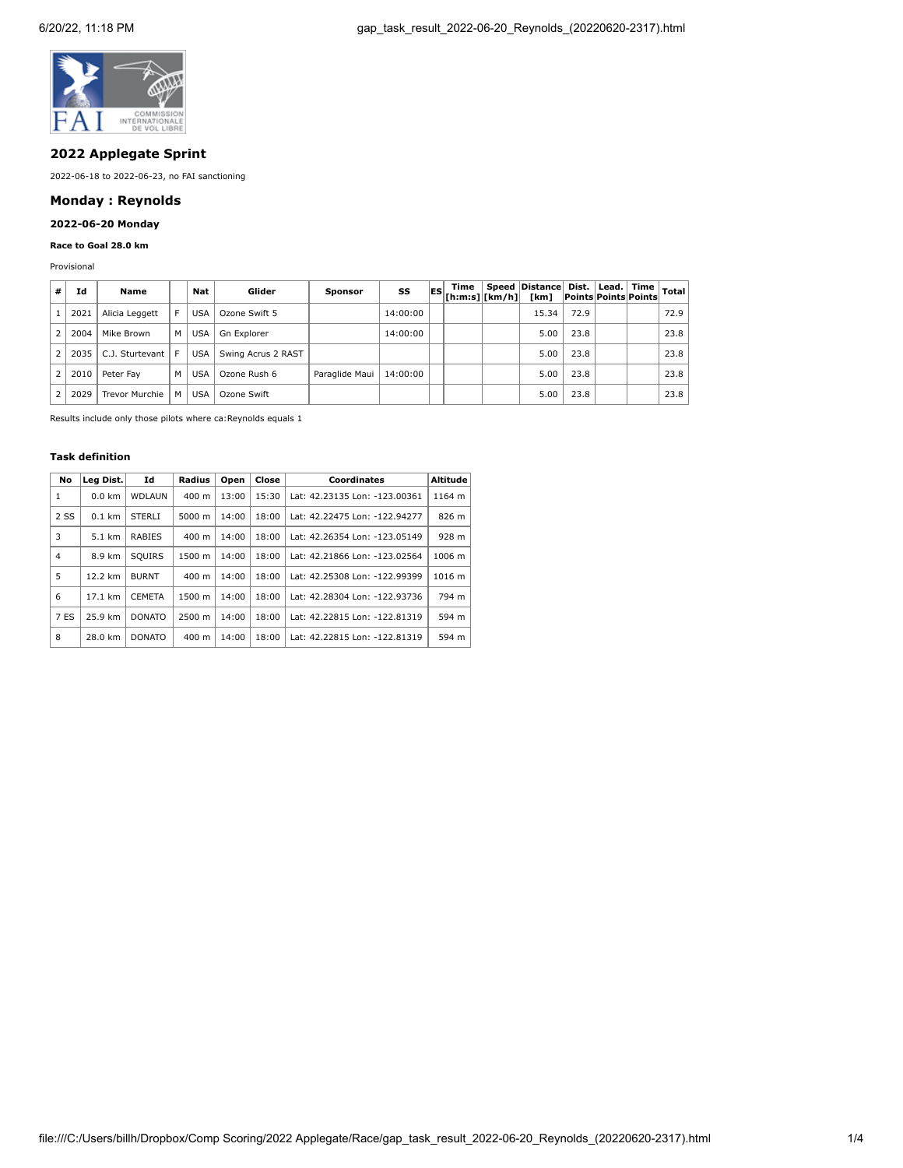

## **2022 Applegate Sprint**

2022-06-18 to 2022-06-23, no FAI sanctioning

# **Monday : Reynolds**

## **2022-06-20 Monday**

## **Race to Goal 28.0 km**

Provisional

| #              | Id   | Name            |    | Nat        | Glider             | <b>Sponsor</b> | SS       | Time<br>$ES$ $\frac{[h:m:s][km/h]}{[h:m:s][km/h]}$ | Speed Distance Dist. Lead. Time Total<br>[km] |      | <b>Points Points Points</b> |      |
|----------------|------|-----------------|----|------------|--------------------|----------------|----------|----------------------------------------------------|-----------------------------------------------|------|-----------------------------|------|
|                | 2021 | Alicia Leggett  | F. | <b>USA</b> | Ozone Swift 5      |                | 14:00:00 |                                                    | 15.34                                         | 72.9 |                             | 72.9 |
|                | 2004 | Mike Brown      | M  | <b>USA</b> | Gn Explorer        |                | 14:00:00 |                                                    | 5.00                                          | 23.8 |                             | 23.8 |
| $\overline{2}$ | 2035 | C.J. Sturtevant | F. | <b>USA</b> | Swing Acrus 2 RAST |                |          |                                                    | 5.00                                          | 23.8 |                             | 23.8 |
| $\overline{2}$ | 2010 | Peter Fav       | M  | <b>USA</b> | Ozone Rush 6       | Paraglide Maui | 14:00:00 |                                                    | 5.00                                          | 23.8 |                             | 23.8 |
| $\mathcal{P}$  | 2029 | Trevor Murchie  | M  | <b>USA</b> | Ozone Swift        |                |          |                                                    | 5.00                                          | 23.8 |                             | 23.8 |

Results include only those pilots where ca:Reynolds equals 1

#### **Task definition**

| No   | Leg Dist. | Id            | Radius          | Open  | Close | Coordinates                   | <b>Altitude</b> |
|------|-----------|---------------|-----------------|-------|-------|-------------------------------|-----------------|
| 1    | $0.0$ km  | <b>WDLAUN</b> | $400 \text{ m}$ | 13:00 | 15:30 | Lat: 42.23135 Lon: -123.00361 | 1164 m          |
| 2 SS | $0.1$ km  | <b>STERLI</b> | $5000 \; m$     | 14:00 | 18:00 | Lat: 42.22475 Lon: -122.94277 | 826 m           |
| 3    | 5.1 km    | <b>RABIES</b> | $400 \text{ m}$ | 14:00 | 18:00 | Lat: 42.26354 Lon: -123.05149 | 928 m           |
| 4    | 8.9 km    | SQUIRS        | 1500 m          | 14:00 | 18:00 | Lat: 42.21866 Lon: -123.02564 | 1006 m          |
| 5    | 12.2 km   | <b>BURNT</b>  | $400 \text{ m}$ | 14:00 | 18:00 | Lat: 42.25308 Lon: -122.99399 | 1016 m          |
| 6    | 17.1 km   | <b>CEMETA</b> | 1500 m          | 14:00 | 18:00 | Lat: 42.28304 Lon: -122.93736 | 794 m           |
| 7 ES | 25.9 km   | <b>DONATO</b> | 2500 m          | 14:00 | 18:00 | Lat: 42.22815 Lon: -122.81319 | 594 m           |
| 8    | 28.0 km   | <b>DONATO</b> | $400 \text{ m}$ | 14:00 | 18:00 | Lat: 42.22815 Lon: -122.81319 | 594 m           |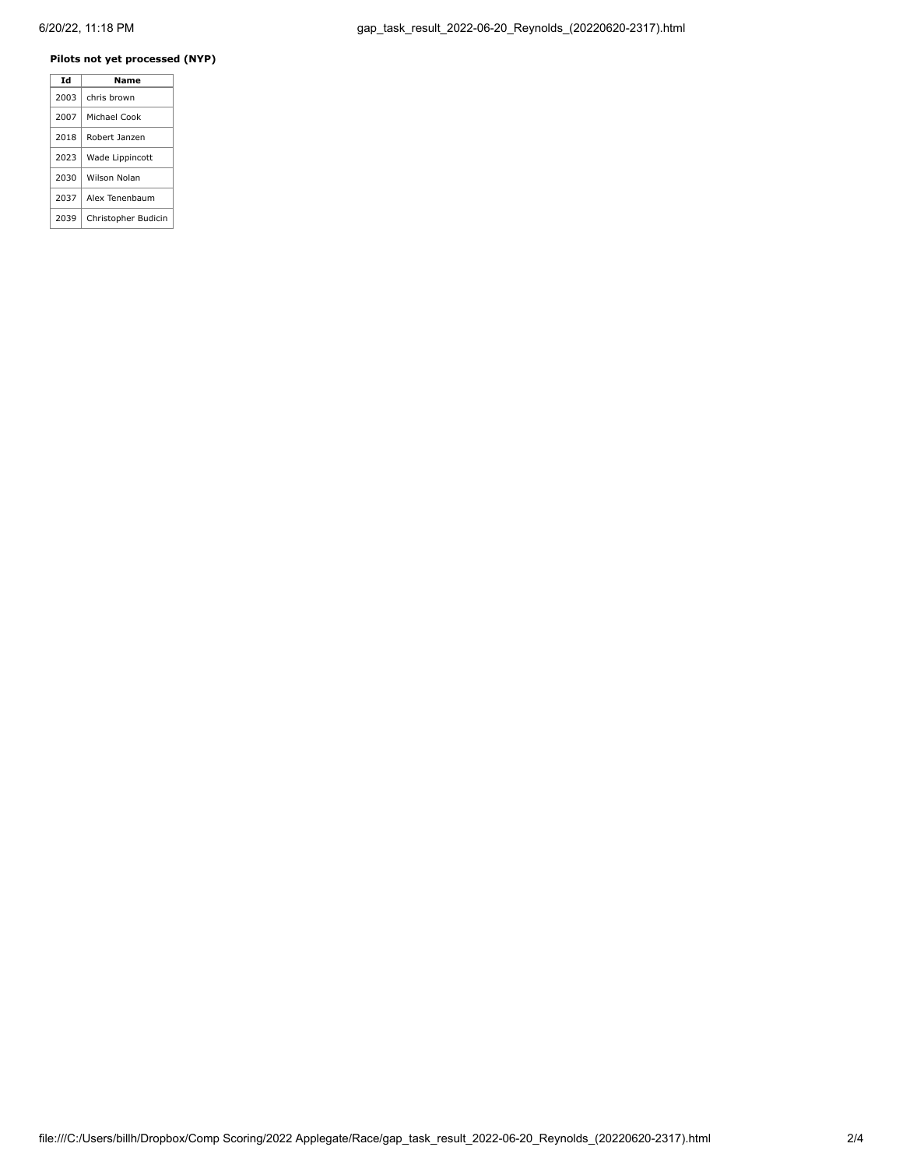## **Pilots not yet processed (NYP)**

| Td   | Name                |
|------|---------------------|
| 2003 | chris brown         |
| 2007 | Michael Cook        |
| 2018 | Robert Janzen       |
| 2023 | Wade Lippincott     |
| 2030 | Wilson Nolan        |
| 2037 | Alex Tenenbaum      |
| 2039 | Christopher Budicin |
|      |                     |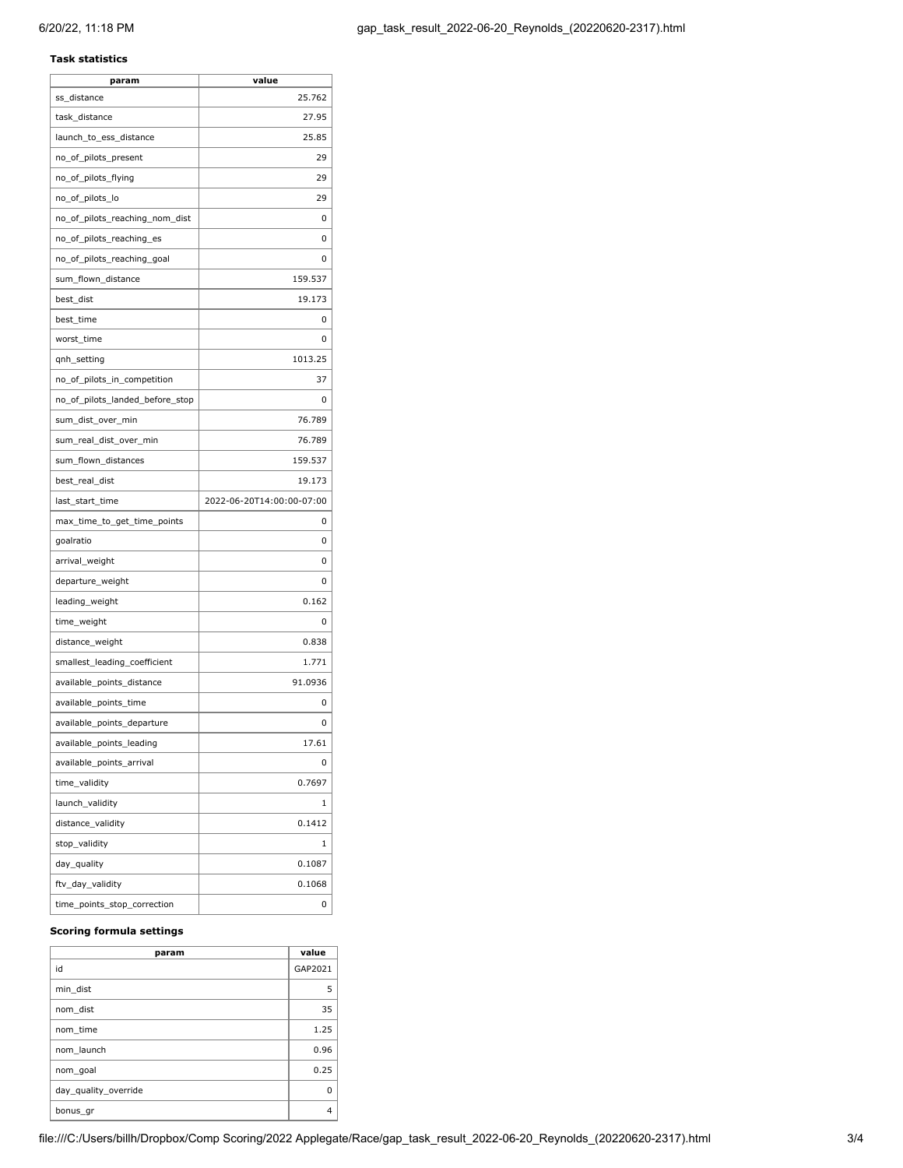#### **Task statistics**

| param                           | value                     |
|---------------------------------|---------------------------|
| ss distance                     | 25.762                    |
| task_distance                   | 27.95                     |
| launch_to_ess_distance          | 25.85                     |
| no_of_pilots_present            | 29                        |
| no_of_pilots_flying             | 29                        |
| no_of_pilots_lo                 | 29                        |
| no_of_pilots_reaching_nom_dist  | 0                         |
| no_of_pilots_reaching_es        | 0                         |
| no_of_pilots_reaching_goal      | 0                         |
| sum_flown_distance              | 159.537                   |
| best_dist                       | 19.173                    |
| best_time                       | 0                         |
| worst_time                      | 0                         |
| qnh_setting                     | 1013.25                   |
| no_of_pilots_in_competition     | 37                        |
| no_of_pilots_landed_before_stop | 0                         |
| sum_dist_over_min               | 76.789                    |
| sum_real_dist_over_min          | 76.789                    |
| sum_flown_distances             | 159.537                   |
| best real dist                  | 19.173                    |
| last_start_time                 | 2022-06-20T14:00:00-07:00 |
| max_time_to_get_time_points     | 0                         |
| goalratio                       | 0                         |
| arrival_weight                  | 0                         |
| departure_weight                | 0                         |
| leading_weight                  | 0.162                     |
| time_weight                     | 0                         |
| distance_weight                 | 0.838                     |
| smallest_leading_coefficient    | 1.771                     |
| available_points_distance       | 91.0936                   |
| available_points_time           | 0                         |
| available_points_departure      | 0                         |
| available_points_leading        | 17.61                     |
| available_points_arrival        | 0                         |
|                                 |                           |
| time_validity                   | 0.7697                    |
| launch_validity                 | 1                         |
| distance_validity               | 0.1412                    |
| stop_validity                   | 1                         |
| day_quality                     | 0.1087                    |
| ftv_day_validity                | 0.1068                    |

## **Scoring formula settings**

| param                | value   |
|----------------------|---------|
| id                   | GAP2021 |
| min dist             | 5       |
| nom dist             | 35      |
| nom time             | 1.25    |
| nom launch           | 0.96    |
| nom goal             | 0.25    |
| day quality override | ŋ       |
| bonus_gr             | 4       |